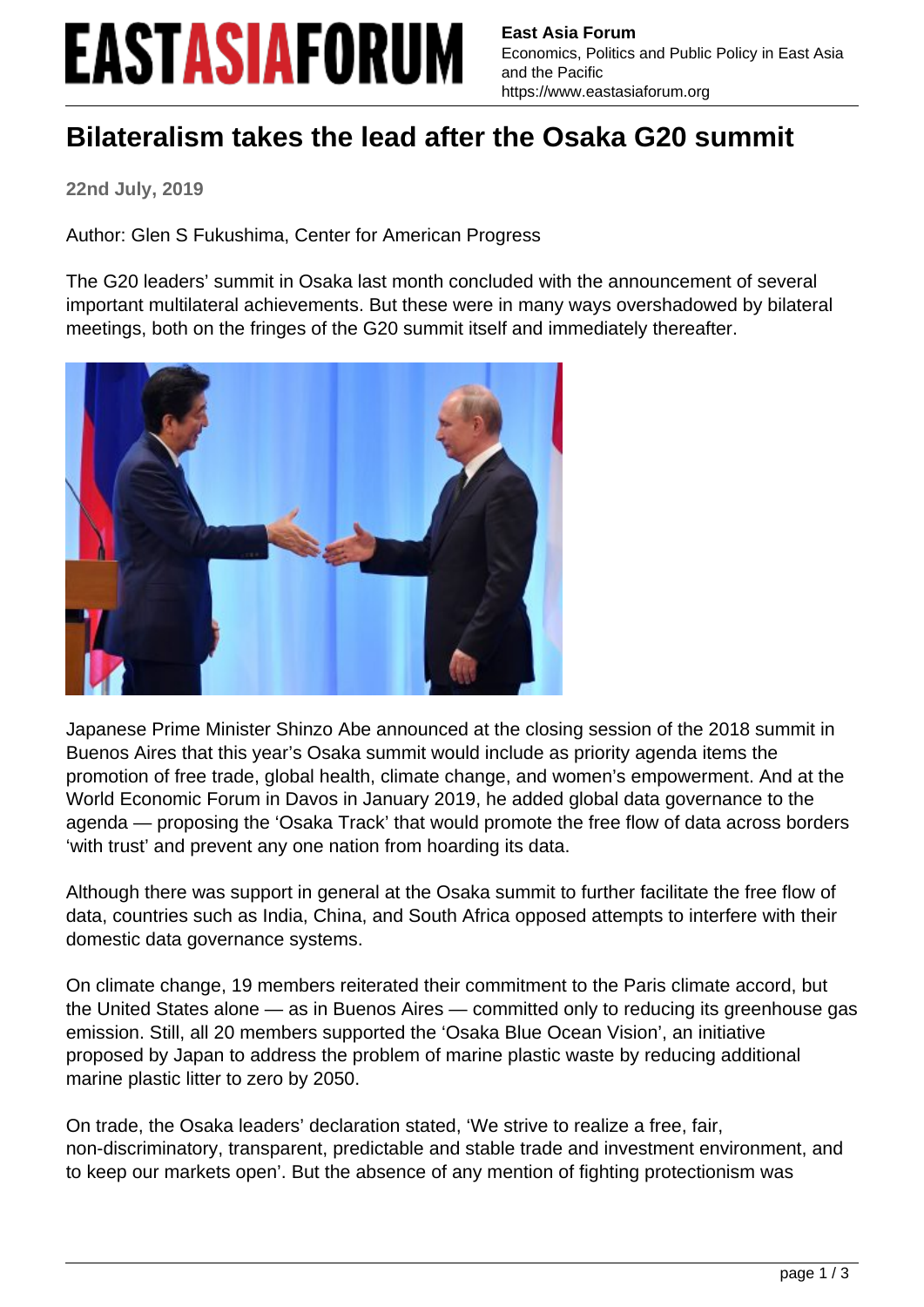## **EASTASIAFORUM**

**East Asia Forum** Economics, Politics and Public Policy in East Asia and the Pacific https://www.eastasiaforum.org

## **Bilateralism takes the lead after the Osaka G20 summit**

**22nd July, 2019**

Author: Glen S Fukushima, Center for American Progress

The G20 leaders' summit in Osaka last month concluded with the announcement of several important multilateral achievements. But these were in many ways overshadowed by bilateral meetings, both on the fringes of the G20 summit itself and immediately thereafter.



Japanese Prime Minister Shinzo Abe announced at the closing session of the 2018 summit in Buenos Aires that this year's Osaka summit would include as priority agenda items the promotion of free trade, global health, climate change, and women's empowerment. And at the World Economic Forum in Davos in January 2019, he added global data governance to the agenda — proposing the 'Osaka Track' that would promote the free flow of data across borders 'with trust' and prevent any one nation from hoarding its data.

Although there was support in general at the Osaka summit to further facilitate the free flow of data, countries such as India, China, and South Africa opposed attempts to interfere with their domestic data governance systems.

On climate change, 19 members reiterated their commitment to the Paris climate accord, but the United States alone — as in Buenos Aires — committed only to reducing its greenhouse gas emission. Still, all 20 members supported the 'Osaka Blue Ocean Vision', an initiative proposed by Japan to address the problem of marine plastic waste by reducing additional marine plastic litter to zero by 2050.

On trade, the Osaka leaders' declaration stated, 'We strive to realize a free, fair, non-discriminatory, transparent, predictable and stable trade and investment environment, and to keep our markets open'. But the absence of any mention of fighting protectionism was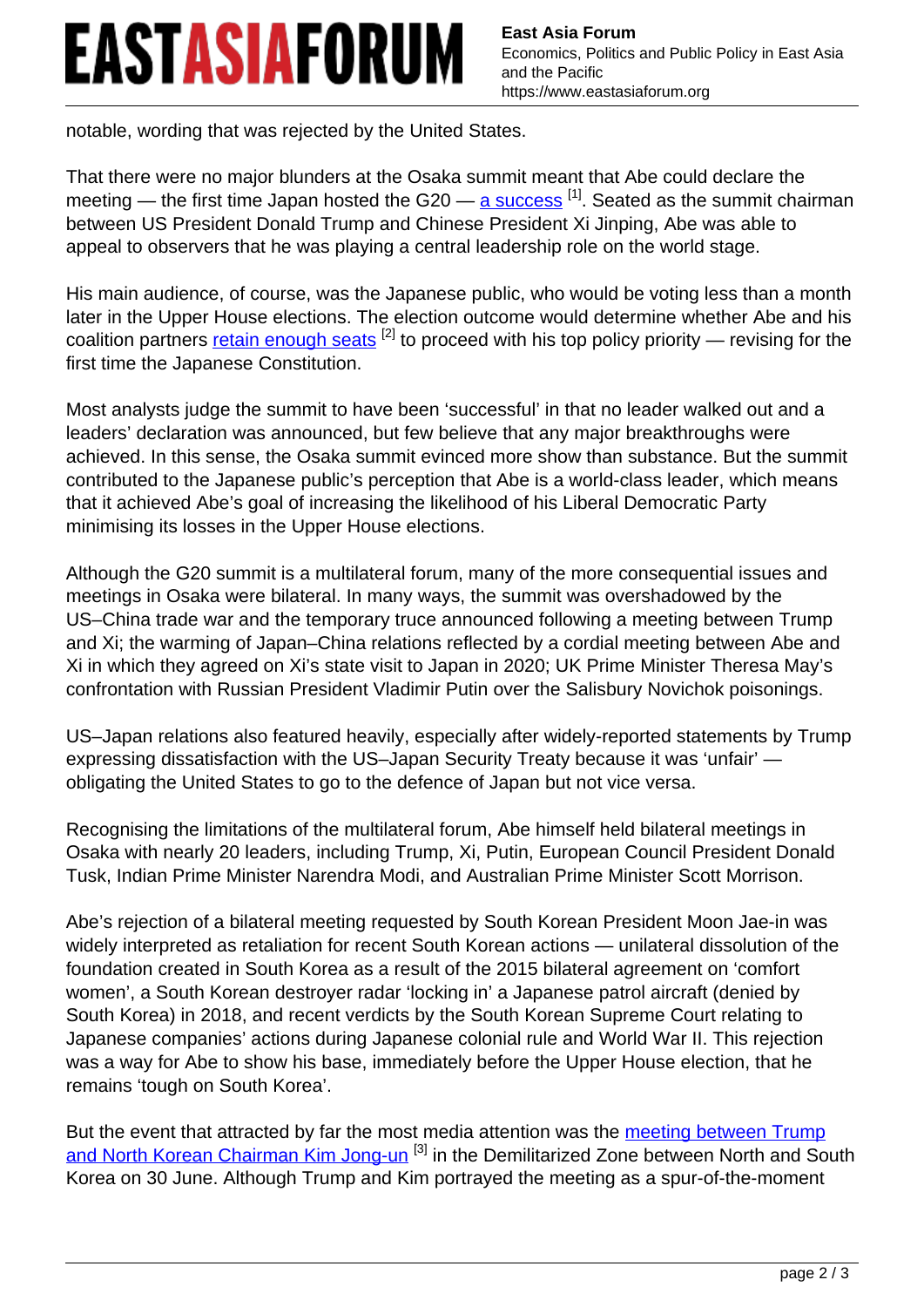## **EASTASIAFORUM**

notable, wording that was rejected by the United States.

That there were no major blunders at the Osaka summit meant that Abe could declare the meeting — the first time Japan hosted the G20 — [a success](https://www.eastasiaforum.org/2019/07/18/abes-fragile-success-at-the-g20/)  $[1]$ . Seated as the summit chairman between US President Donald Trump and Chinese President Xi Jinping, Abe was able to appeal to observers that he was playing a central leadership role on the world stage.

His main audience, of course, was the Japanese public, who would be voting less than a month later in the Upper House elections. The election outcome would determine whether Abe and his coalition partners retain enough seats  $^{[2]}$  to proceed with his top policy priority — revising for the first time the Japanese Constitution.

Most analysts judge the summit to have been 'successful' in that no leader walked out and a leaders' declaration was announced, but few believe that any major breakthroughs were achieved. In this sense, the Osaka summit evinced more show than substance. But the summit contributed to the Japanese public's perception that Abe is a world-class leader, which means that it achieved Abe's goal of increasing the likelihood of his Liberal Democratic Party minimising its losses in the Upper House elections.

Although the G20 summit is a multilateral forum, many of the more consequential issues and meetings in Osaka were bilateral. In many ways, the summit was overshadowed by the US–China trade war and the temporary truce announced following a meeting between Trump and Xi; the warming of Japan–China relations reflected by a cordial meeting between Abe and Xi in which they agreed on Xi's state visit to Japan in 2020; UK Prime Minister Theresa May's confrontation with Russian President Vladimir Putin over the Salisbury Novichok poisonings.

US–Japan relations also featured heavily, especially after widely-reported statements by Trump expressing dissatisfaction with the US–Japan Security Treaty because it was 'unfair' obligating the United States to go to the defence of Japan but not vice versa.

Recognising the limitations of the multilateral forum, Abe himself held bilateral meetings in Osaka with nearly 20 leaders, including Trump, Xi, Putin, European Council President Donald Tusk, Indian Prime Minister Narendra Modi, and Australian Prime Minister Scott Morrison.

Abe's rejection of a bilateral meeting requested by South Korean President Moon Jae-in was widely interpreted as retaliation for recent South Korean actions — unilateral dissolution of the foundation created in South Korea as a result of the 2015 bilateral agreement on 'comfort women', a South Korean destroyer radar 'locking in' a Japanese patrol aircraft (denied by South Korea) in 2018, and recent verdicts by the South Korean Supreme Court relating to Japanese companies' actions during Japanese colonial rule and World War II. This rejection was a way for Abe to show his base, immediately before the Upper House election, that he remains 'tough on South Korea'.

But the event that attracted by far the most media attention was the meeting between Trump and North Korean Chairman Kim Jong-un<sup>[3]</sup> in the Demilitarized Zone between North and South Korea on 30 June. Although Trump and Kim portrayed the meeting as a spur-of-the-moment